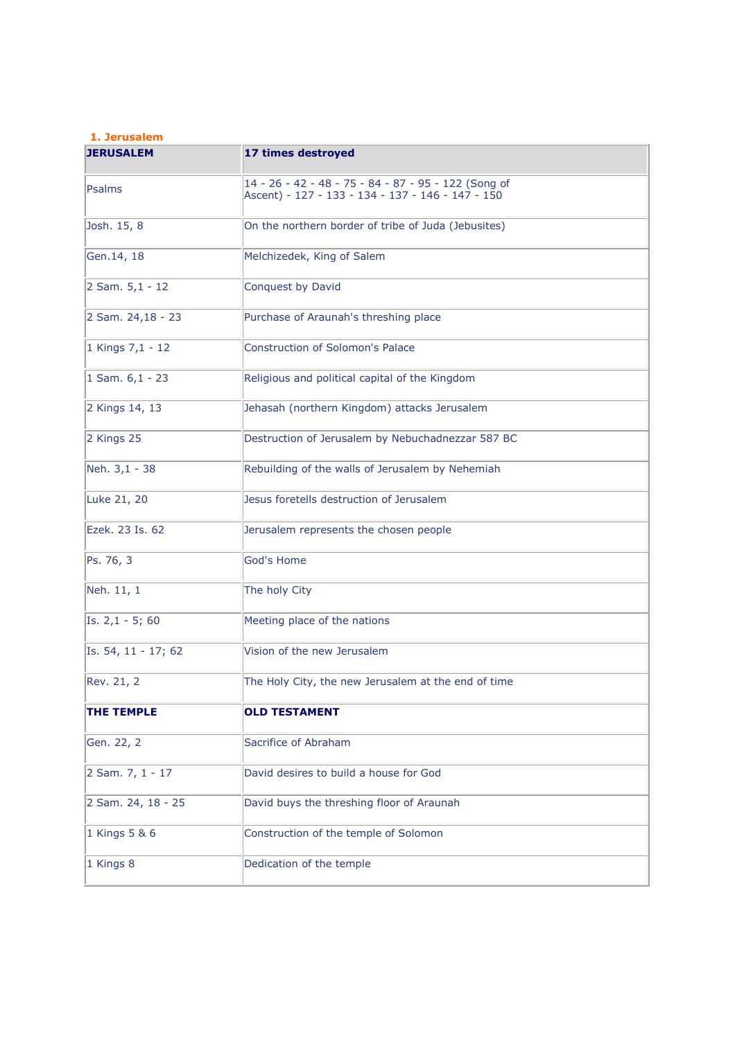## **1. Jerusalem**

| <b>JERUSALEM</b>    | 17 times destroyed                                                                                        |
|---------------------|-----------------------------------------------------------------------------------------------------------|
| Psalms              | 14 - 26 - 42 - 48 - 75 - 84 - 87 - 95 - 122 (Song of<br>Ascent) - 127 - 133 - 134 - 137 - 146 - 147 - 150 |
| Josh. 15, 8         | On the northern border of tribe of Juda (Jebusites)                                                       |
| Gen. 14, 18         | Melchizedek, King of Salem                                                                                |
| 2 Sam. $5,1 - 12$   | Conquest by David                                                                                         |
| 2 Sam. 24,18 - 23   | Purchase of Araunah's threshing place                                                                     |
| 1 Kings 7,1 - 12    | <b>Construction of Solomon's Palace</b>                                                                   |
| 1 Sam. $6,1 - 23$   | Religious and political capital of the Kingdom                                                            |
| 2 Kings 14, 13      | Jehasah (northern Kingdom) attacks Jerusalem                                                              |
| 2 Kings 25          | Destruction of Jerusalem by Nebuchadnezzar 587 BC                                                         |
| Neh. 3,1 - 38       | Rebuilding of the walls of Jerusalem by Nehemiah                                                          |
| Luke 21, 20         | Jesus foretells destruction of Jerusalem                                                                  |
| Ezek. 23 Is. 62     | Jerusalem represents the chosen people                                                                    |
| Ps. 76, 3           | God's Home                                                                                                |
| Neh. 11, 1          | The holy City                                                                                             |
| Is. $2,1 - 5$ ; 60  | Meeting place of the nations                                                                              |
| Is. 54, 11 - 17; 62 | Vision of the new Jerusalem                                                                               |
| Rev. 21, 2          | The Holy City, the new Jerusalem at the end of time                                                       |
| <b>THE TEMPLE</b>   | <b>OLD TESTAMENT</b>                                                                                      |
| Gen. 22, 2          | Sacrifice of Abraham                                                                                      |
| 2 Sam. 7, 1 - 17    | David desires to build a house for God                                                                    |
| 2 Sam. 24, 18 - 25  | David buys the threshing floor of Araunah                                                                 |
| 1 Kings 5 & 6       | Construction of the temple of Solomon                                                                     |
| 1 Kings 8           | Dedication of the temple                                                                                  |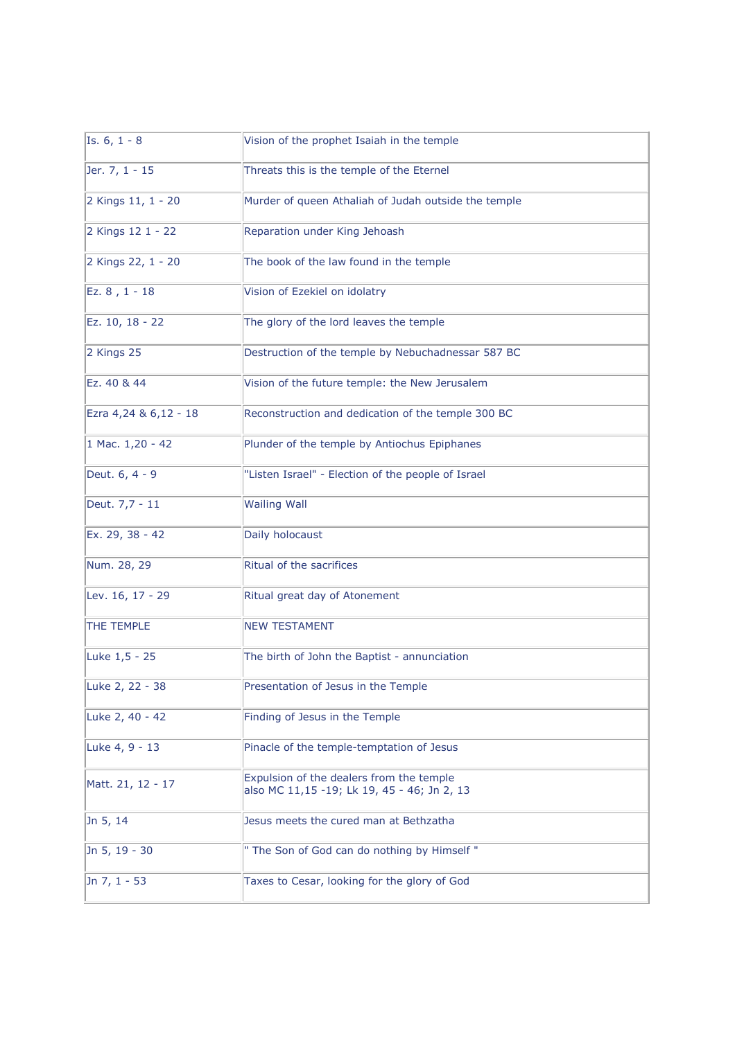| Is. $6, 1 - 8$        | Vision of the prophet Isaiah in the temple                                              |
|-----------------------|-----------------------------------------------------------------------------------------|
| Jer. 7, 1 - 15        | Threats this is the temple of the Eternel                                               |
| 2 Kings 11, 1 - 20    | Murder of queen Athaliah of Judah outside the temple                                    |
| 2 Kings 12 1 - 22     | Reparation under King Jehoash                                                           |
| 2 Kings 22, 1 - 20    | The book of the law found in the temple                                                 |
| Ez. 8, 1 - 18         | Vision of Ezekiel on idolatry                                                           |
| Ez. 10, 18 - 22       | The glory of the lord leaves the temple                                                 |
| 2 Kings 25            | Destruction of the temple by Nebuchadnessar 587 BC                                      |
| Ez. 40 & 44           | Vision of the future temple: the New Jerusalem                                          |
| Ezra 4,24 & 6,12 - 18 | Reconstruction and dedication of the temple 300 BC                                      |
| 1 Mac. 1,20 - 42      | Plunder of the temple by Antiochus Epiphanes                                            |
| Deut. 6, 4 - 9        | "Listen Israel" - Election of the people of Israel                                      |
| Deut. 7,7 - 11        | <b>Wailing Wall</b>                                                                     |
| Ex. 29, 38 - 42       | Daily holocaust                                                                         |
| Num. 28, 29           | Ritual of the sacrifices                                                                |
| Lev. 16, 17 - 29      | Ritual great day of Atonement                                                           |
| THE TEMPLE            | <b>NEW TESTAMENT</b>                                                                    |
| Luke 1,5 - 25         | The birth of John the Baptist - annunciation                                            |
| Luke 2, 22 - 38       | Presentation of Jesus in the Temple                                                     |
| Luke 2, 40 - 42       | Finding of Jesus in the Temple                                                          |
| Luke 4, 9 - 13        | Pinacle of the temple-temptation of Jesus                                               |
| Matt. 21, 12 - 17     | Expulsion of the dealers from the temple<br>also MC 11,15 -19; Lk 19, 45 - 46; Jn 2, 13 |
| Jn 5, 14              | Jesus meets the cured man at Bethzatha                                                  |
| Jn 5, 19 - 30         | " The Son of God can do nothing by Himself "                                            |
| Jn 7, 1 - 53          | Taxes to Cesar, looking for the glory of God                                            |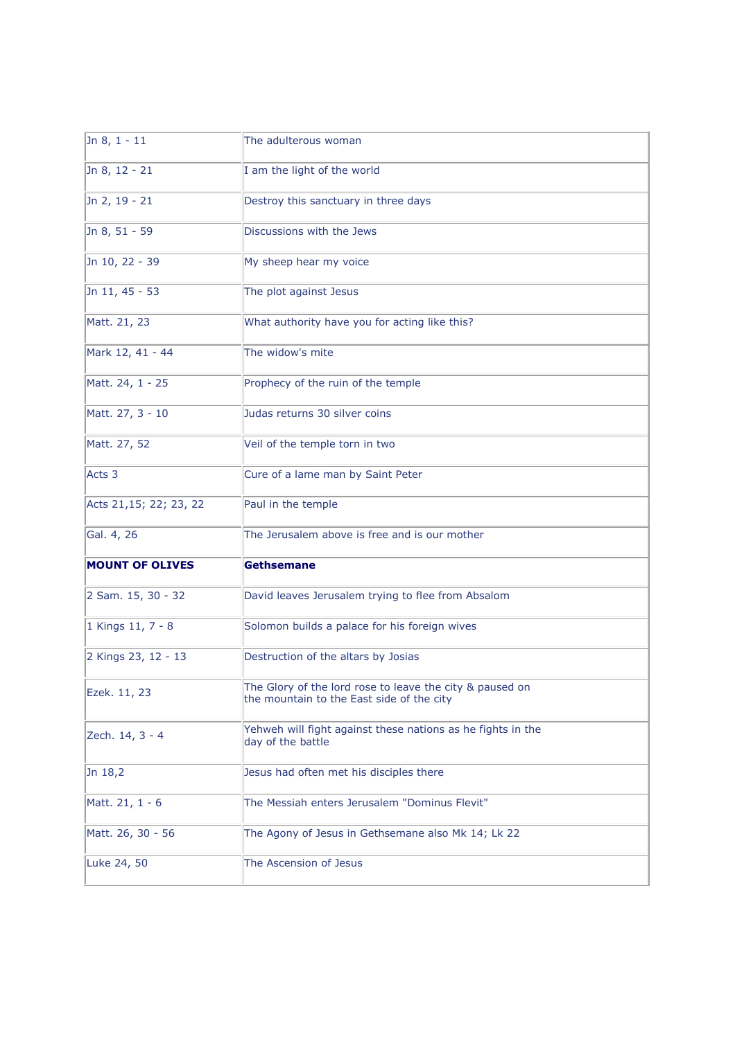| Jn $8, 1 - 11$         | The adulterous woman                                                                                  |
|------------------------|-------------------------------------------------------------------------------------------------------|
| Jn 8, 12 - 21          | I am the light of the world                                                                           |
| Jn 2, 19 - 21          | Destroy this sanctuary in three days                                                                  |
| Jn 8, 51 - 59          | Discussions with the Jews                                                                             |
| Jn 10, 22 - 39         | My sheep hear my voice                                                                                |
| Jn 11, 45 - 53         | The plot against Jesus                                                                                |
| Matt. 21, 23           | What authority have you for acting like this?                                                         |
| Mark 12, 41 - 44       | The widow's mite                                                                                      |
| Matt. 24, 1 - 25       | Prophecy of the ruin of the temple                                                                    |
| Matt. 27, 3 - 10       | Judas returns 30 silver coins                                                                         |
| Matt. 27, 52           | Veil of the temple torn in two                                                                        |
| Acts <sub>3</sub>      | Cure of a lame man by Saint Peter                                                                     |
| Acts 21,15; 22; 23, 22 | Paul in the temple                                                                                    |
| Gal. 4, 26             | The Jerusalem above is free and is our mother                                                         |
| <b>MOUNT OF OLIVES</b> | <b>Gethsemane</b>                                                                                     |
| 2 Sam. 15, 30 - 32     | David leaves Jerusalem trying to flee from Absalom                                                    |
| 1 Kings 11, 7 - 8      | Solomon builds a palace for his foreign wives                                                         |
| 2 Kings 23, 12 - 13    | Destruction of the altars by Josias                                                                   |
| Ezek. 11, 23           | The Glory of the lord rose to leave the city & paused on<br>the mountain to the East side of the city |
| Zech. 14, 3 - 4        | Yehweh will fight against these nations as he fights in the<br>day of the battle                      |
| Jn 18,2                | Jesus had often met his disciples there                                                               |
| Matt. 21, 1 - 6        | The Messiah enters Jerusalem "Dominus Flevit"                                                         |
| Matt. 26, 30 - 56      | The Agony of Jesus in Gethsemane also Mk 14; Lk 22                                                    |
| Luke 24, 50            | The Ascension of Jesus                                                                                |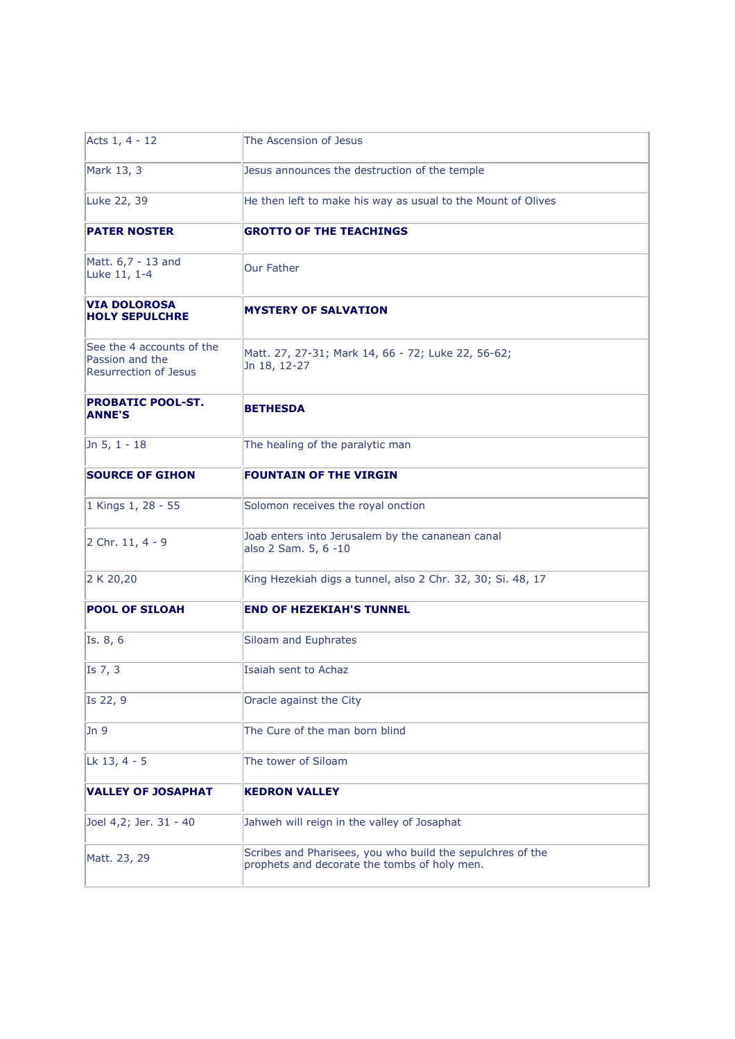| Acts 1, 4 - 12                                                               | The Ascension of Jesus                                                                                     |
|------------------------------------------------------------------------------|------------------------------------------------------------------------------------------------------------|
| Mark 13, 3                                                                   | Jesus announces the destruction of the temple                                                              |
| Luke 22, 39                                                                  | He then left to make his way as usual to the Mount of Olives                                               |
| <b>PATER NOSTER</b>                                                          | <b>GROTTO OF THE TEACHINGS</b>                                                                             |
| Matt. 6,7 - 13 and<br>Luke 11, 1-4                                           | <b>Our Father</b>                                                                                          |
| <b>VIA DOLOROSA</b><br><b>HOLY SEPULCHRE</b>                                 | <b>MYSTERY OF SALVATION</b>                                                                                |
| See the 4 accounts of the<br>Passion and the<br><b>Resurrection of Jesus</b> | Matt. 27, 27-31; Mark 14, 66 - 72; Luke 22, 56-62;<br>Jn 18, 12-27                                         |
| <b>PROBATIC POOL-ST.</b><br><b>ANNE'S</b>                                    | <b>BETHESDA</b>                                                                                            |
| Jn 5, $1 - 18$                                                               | The healing of the paralytic man                                                                           |
| <b>SOURCE OF GIHON</b>                                                       | <b>FOUNTAIN OF THE VIRGIN</b>                                                                              |
| 1 Kings 1, 28 - 55                                                           | Solomon receives the royal onction                                                                         |
| 2 Chr. 11, 4 - 9                                                             | Joab enters into Jerusalem by the cananean canal<br>also 2 Sam. 5, 6 -10                                   |
| 2 K 20,20                                                                    | King Hezekiah digs a tunnel, also 2 Chr. 32, 30; Si. 48, 17                                                |
| <b>POOL OF SILOAH</b>                                                        | <b>END OF HEZEKIAH'S TUNNEL</b>                                                                            |
| Is. 8, 6                                                                     | Siloam and Euphrates                                                                                       |
| Is 7, 3                                                                      | Isaiah sent to Achaz                                                                                       |
| Is 22, 9                                                                     | Oracle against the City                                                                                    |
| Jn <sub>9</sub>                                                              | The Cure of the man born blind                                                                             |
| Lk 13, 4 - 5                                                                 | The tower of Siloam                                                                                        |
| <b>VALLEY OF JOSAPHAT</b>                                                    | <b>KEDRON VALLEY</b>                                                                                       |
| Joel 4,2; Jer. 31 - 40                                                       | Jahweh will reign in the valley of Josaphat                                                                |
| Matt. 23, 29                                                                 | Scribes and Pharisees, you who build the sepulchres of the<br>prophets and decorate the tombs of holy men. |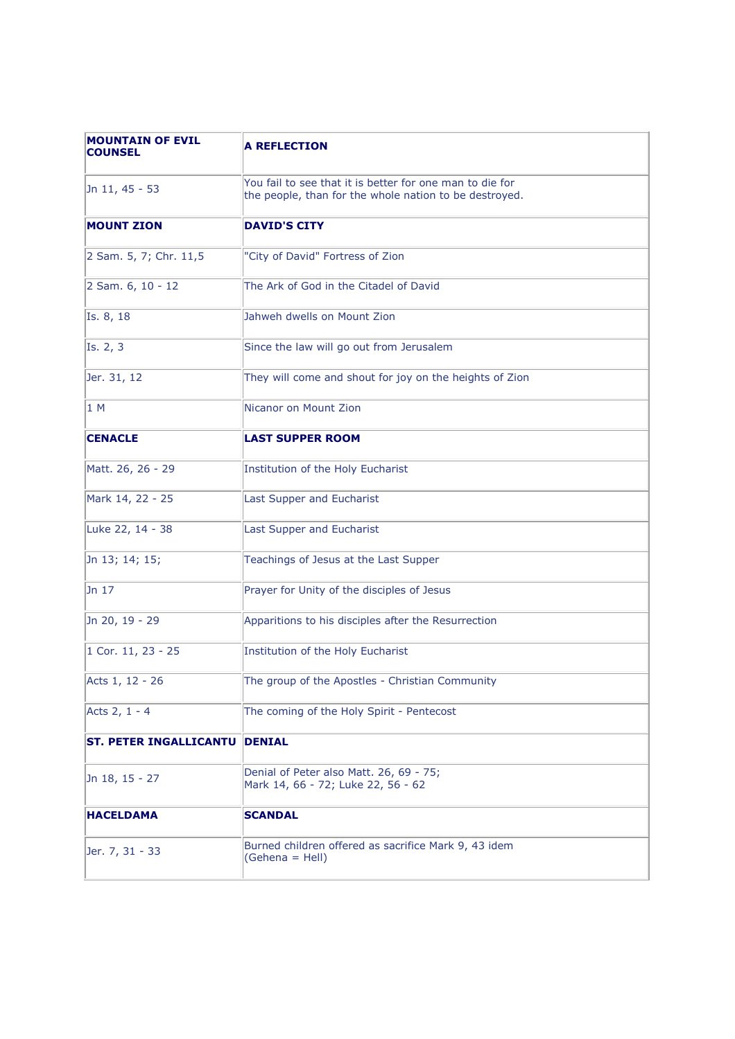| <b>MOUNTAIN OF EVIL</b><br><b>COUNSEL</b> | <b>A REFLECTION</b>                                                                                                |
|-------------------------------------------|--------------------------------------------------------------------------------------------------------------------|
| Jn 11, 45 - 53                            | You fail to see that it is better for one man to die for<br>the people, than for the whole nation to be destroyed. |
| <b>MOUNT ZION</b>                         | <b>DAVID'S CITY</b>                                                                                                |
| 2 Sam. 5, 7; Chr. 11,5                    | "City of David" Fortress of Zion                                                                                   |
| 2 Sam. 6, 10 - 12                         | The Ark of God in the Citadel of David                                                                             |
| Is. 8, 18                                 | Jahweh dwells on Mount Zion                                                                                        |
| Is. 2, 3                                  | Since the law will go out from Jerusalem                                                                           |
| Jer. 31, 12                               | They will come and shout for joy on the heights of Zion                                                            |
| 1 M                                       | Nicanor on Mount Zion                                                                                              |
| <b>CENACLE</b>                            | <b>LAST SUPPER ROOM</b>                                                                                            |
| Matt. 26, 26 - 29                         | Institution of the Holy Eucharist                                                                                  |
| Mark 14, 22 - 25                          | Last Supper and Eucharist                                                                                          |
| Luke 22, 14 - 38                          | Last Supper and Eucharist                                                                                          |
| Jn 13; 14; 15;                            | Teachings of Jesus at the Last Supper                                                                              |
| Jn 17                                     | Prayer for Unity of the disciples of Jesus                                                                         |
| Jn 20, 19 - 29                            | Apparitions to his disciples after the Resurrection                                                                |
| 1 Cor. 11, 23 - 25                        | Institution of the Holy Eucharist                                                                                  |
| Acts 1, 12 - 26                           | The group of the Apostles - Christian Community                                                                    |
| Acts 2, 1 - 4                             | The coming of the Holy Spirit - Pentecost                                                                          |
| <b>ST. PETER INGALLICANTU</b>             | <b>DENIAL</b>                                                                                                      |
| Jn 18, 15 - 27                            | Denial of Peter also Matt. 26, 69 - 75;<br>Mark 14, 66 - 72; Luke 22, 56 - 62                                      |
| <b>HACELDAMA</b>                          | <b>SCANDAL</b>                                                                                                     |
| Jer. 7, 31 - 33                           | Burned children offered as sacrifice Mark 9, 43 idem<br>(Gehena = Hell)                                            |